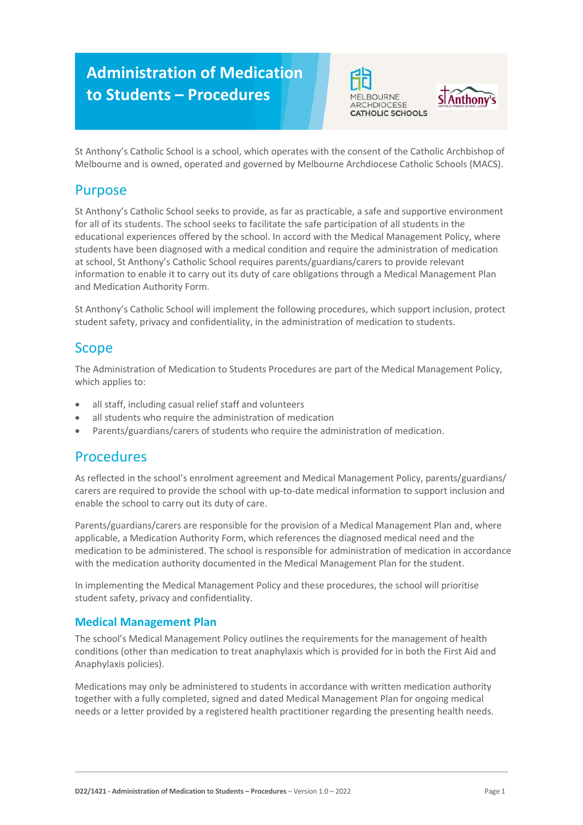# **Administration of Medication to Students – Procedures**





St Anthony's Catholic School is a school, which operates with the consent of the Catholic Archbishop of Melbourne and is owned, operated and governed by Melbourne Archdiocese Catholic Schools (MACS).

### Purpose

St Anthony's Catholic School seeks to provide, as far as practicable, a safe and supportive environment for all of its students. The school seeks to facilitate the safe participation of all students in the educational experiences offered by the school. In accord with the Medical Management Policy, where students have been diagnosed with a medical condition and require the administration of medication at school, St Anthony's Catholic School requires parents/guardians/carers to provide relevant information to enable it to carry out its duty of care obligations through a Medical Management Plan and Medication Authority Form.

St Anthony's Catholic School will implement the following procedures, which support inclusion, protect student safety, privacy and confidentiality, in the administration of medication to students.

## Scope

The Administration of Medication to Students Procedures are part of the Medical Management Policy, which applies to:

- all staff, including casual relief staff and volunteers
- all students who require the administration of medication
- Parents/guardians/carers of students who require the administration of medication.

### Procedures

As reflected in the school's enrolment agreement and Medical Management Policy, parents/guardians/ carers are required to provide the school with up-to-date medical information to support inclusion and enable the school to carry out its duty of care.

Parents/guardians/carers are responsible for the provision of a Medical Management Plan and, where applicable, a Medication Authority Form, which references the diagnosed medical need and the medication to be administered. The school is responsible for administration of medication in accordance with the medication authority documented in the Medical Management Plan for the student.

In implementing the Medical Management Policy and these procedures, the school will prioritise student safety, privacy and confidentiality.

### **Medical Management Plan**

The school's Medical Management Policy outlines the requirements for the management of health conditions (other than medication to treat anaphylaxis which is provided for in both the First Aid and Anaphylaxis policies).

Medications may only be administered to students in accordance with written medication authority together with a fully completed, signed and dated Medical Management Plan for ongoing medical needs or a letter provided by a registered health practitioner regarding the presenting health needs.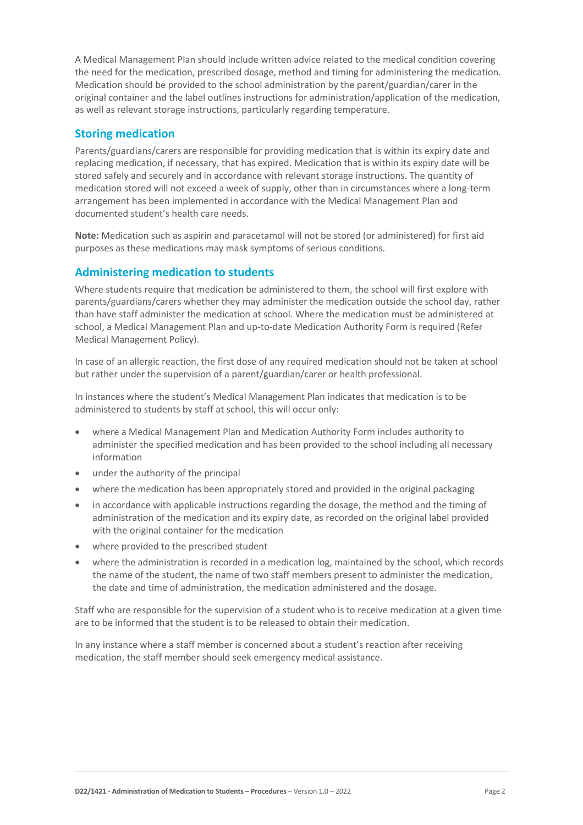A Medical Management Plan should include written advice related to the medical condition covering the need for the medication, prescribed dosage, method and timing for administering the medication. Medication should be provided to the school administration by the parent/guardian/carer in the original container and the label outlines instructions for administration/application of the medication, as well as relevant storage instructions, particularly regarding temperature.

#### **Storing medication**

Parents/guardians/carers are responsible for providing medication that is within its expiry date and replacing medication, if necessary, that has expired. Medication that is within its expiry date will be stored safely and securely and in accordance with relevant storage instructions. The quantity of medication stored will not exceed a week of supply, other than in circumstances where a long-term arrangement has been implemented in accordance with the Medical Management Plan and documented student's health care needs.

**Note:** Medication such as aspirin and paracetamol will not be stored (or administered) for first aid purposes as these medications may mask symptoms of serious conditions.

#### **Administering medication to students**

Where students require that medication be administered to them, the school will first explore with parents/guardians/carers whether they may administer the medication outside the school day, rather than have staff administer the medication at school. Where the medication must be administered at school, a Medical Management Plan and up-to-date Medication Authority Form is required (Refer Medical Management Policy).

In case of an allergic reaction, the first dose of any required medication should not be taken at school but rather under the supervision of a parent/guardian/carer or health professional.

In instances where the student's Medical Management Plan indicates that medication is to be administered to students by staff at school, this will occur only:

- where a Medical Management Plan and Medication Authority Form includes authority to administer the specified medication and has been provided to the school including all necessary information
- under the authority of the principal
- where the medication has been appropriately stored and provided in the original packaging
- in accordance with applicable instructions regarding the dosage, the method and the timing of administration of the medication and its expiry date, as recorded on the original label provided with the original container for the medication
- where provided to the prescribed student
- where the administration is recorded in a medication log, maintained by the school, which records the name of the student, the name of two staff members present to administer the medication, the date and time of administration, the medication administered and the dosage.

Staff who are responsible for the supervision of a student who is to receive medication at a given time are to be informed that the student is to be released to obtain their medication.

In any instance where a staff member is concerned about a student's reaction after receiving medication, the staff member should seek emergency medical assistance.